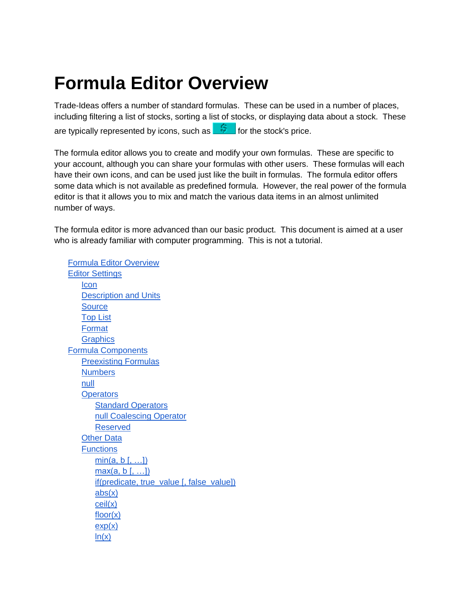# <span id="page-0-0"></span>**Formula Editor Overview**

Trade-Ideas offers a number of standard formulas. These can be used in a number of places, including filtering a list of stocks, sorting a list of stocks, or displaying data about a stock. These are typically represented by icons, such as  $\frac{5}{5}$  for the stock's price.

The formula editor allows you to create and modify your own formulas. These are specific to your account, although you can share your formulas with other users. These formulas will each have their own icons, and can be used just like the built in formulas. The formula editor offers some data which is not available as predefined formula. However, the real power of the formula editor is that it allows you to mix and match the various data items in an almost unlimited number of ways.

The formula editor is more advanced than our basic product. This document is aimed at a user who is already familiar with computer programming. This is not a tutorial.

[Formula Editor Overview](#page-0-0) [Editor Settings](#page-1-0) **[Icon](#page-1-1)** [Description and Units](#page-1-2) **[Source](#page-1-3)** [Top List](#page-1-4) [Format](#page-2-0) **[Graphics](#page-2-1)** [Formula Components](#page-2-2) [Preexisting Formulas](#page-3-0) **[Numbers](#page-3-1)** [null](#page-3-2) **[Operators](#page-4-0)** [Standard Operators](#page-4-1) [null Coalescing Operator](#page-4-2) [Reserved](#page-4-3) [Other Data](#page-4-4) **[Functions](#page-6-0)**  $min(a, b[, ...])$  $max(a, b[, ...])$ [if\(predicate, true\\_value \[, false\\_value\]\)](#page-6-3) [abs\(x\)](#page-6-4) [ceil\(x\)](#page-6-5) [floor\(x\)](#page-6-6)  $exp(x)$  $ln(x)$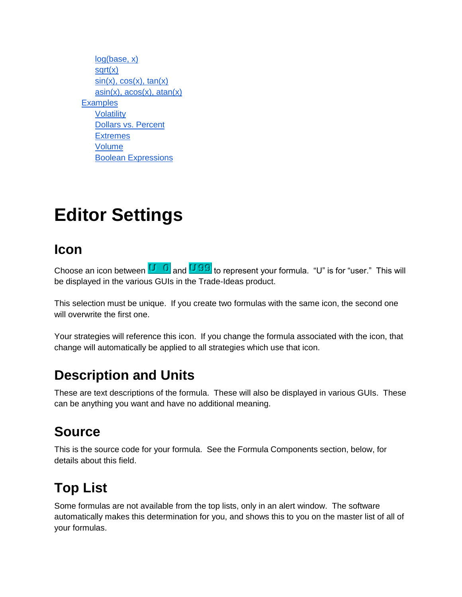[log\(base, x\)](#page-7-0) [sqrt\(x\)](#page-7-1)  $sin(x)$ ,  $cos(x)$ ,  $tan(x)$  $asin(x)$ ,  $acos(x)$ ,  $atan(x)$ **[Examples](#page-7-4)** [Volatility](#page-7-5) [Dollars vs. Percent](#page-7-6) **[Extremes](#page-7-7)** [Volume](#page-8-0) [Boolean Expressions](#page-8-1)

# <span id="page-1-0"></span>**Editor Settings**

#### <span id="page-1-1"></span>**Icon**

Choose an icon between  $\begin{array}{|c|c|} \hline \textbf{U} & \textbf{0} & \textbf{and} \end{array}$  and  $\begin{array}{c|c|c|} \hline \textbf{U} & \textbf{99} & \textbf{to} \textbf{to} & \textbf{to} & \textbf{to} & \textbf{to} & \textbf{to} & \textbf{to} & \textbf{to} & \textbf{to} & \textbf{to} & \textbf{to} & \textbf{to} & \textbf{to} \end{array}$ be displayed in the various GUIs in the Trade-Ideas product.

This selection must be unique. If you create two formulas with the same icon, the second one will overwrite the first one.

Your strategies will reference this icon. If you change the formula associated with the icon, that change will automatically be applied to all strategies which use that icon.

### <span id="page-1-2"></span>**Description and Units**

These are text descriptions of the formula. These will also be displayed in various GUIs. These can be anything you want and have no additional meaning.

# <span id="page-1-3"></span>**Source**

This is the source code for your formula. See the Formula Components section, below, for details about this field.

# <span id="page-1-4"></span>**Top List**

Some formulas are not available from the top lists, only in an alert window. The software automatically makes this determination for you, and shows this to you on the master list of all of your formulas.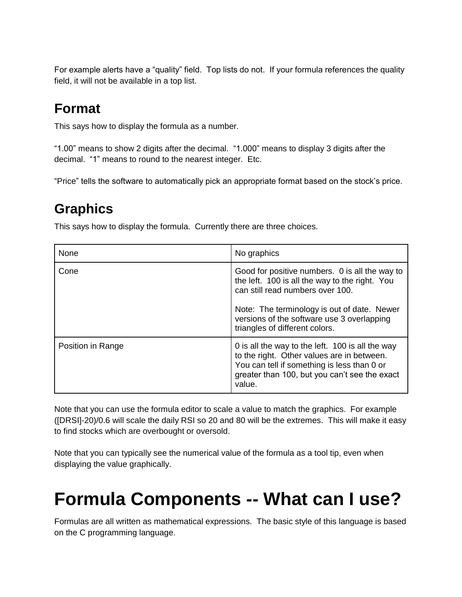For example alerts have a "quality" field. Top lists do not. If your formula references the quality field, it will not be available in a top list.

# <span id="page-2-0"></span>**Format**

This says how to display the formula as a number.

"1.00" means to show 2 digits after the decimal. "1.000" means to display 3 digits after the decimal. "1" means to round to the nearest integer. Etc.

<span id="page-2-1"></span>"Price" tells the software to automatically pick an appropriate format based on the stock's price.

# **Graphics**

This says how to display the formula. Currently there are three choices.

| <b>None</b>       | No graphics                                                                                                                                                                                                                                                         |
|-------------------|---------------------------------------------------------------------------------------------------------------------------------------------------------------------------------------------------------------------------------------------------------------------|
| Cone              | Good for positive numbers. 0 is all the way to<br>the left. 100 is all the way to the right. You<br>can still read numbers over 100.<br>Note: The terminology is out of date. Newer<br>versions of the software use 3 overlapping<br>triangles of different colors. |
| Position in Range | 0 is all the way to the left. 100 is all the way<br>to the right. Other values are in between.<br>You can tell if something is less than 0 or<br>greater than 100, but you can't see the exact<br>value.                                                            |

Note that you can use the formula editor to scale a value to match the graphics. For example ([DRSI]-20)/0.6 will scale the daily RSI so 20 and 80 will be the extremes. This will make it easy to find stocks which are overbought or oversold.

Note that you can typically see the numerical value of the formula as a tool tip, even when displaying the value graphically.

# <span id="page-2-2"></span>**Formula Components -- What can I use?**

Formulas are all written as mathematical expressions. The basic style of this language is based on the C programming language.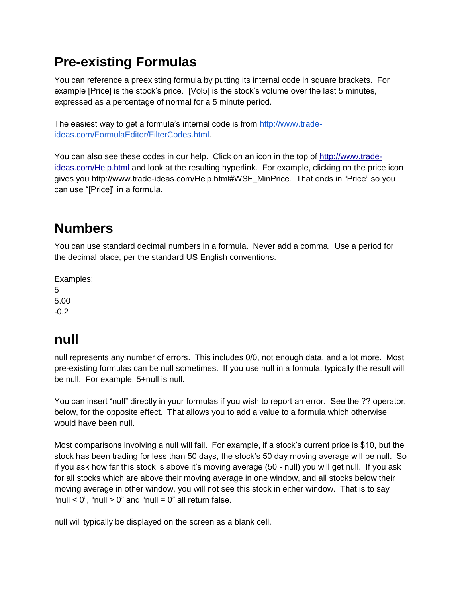# <span id="page-3-0"></span>**Pre-existing Formulas**

You can reference a preexisting formula by putting its internal code in square brackets. For example [Price] is the stock's price. [Vol5] is the stock's volume over the last 5 minutes, expressed as a percentage of normal for a 5 minute period.

The easiest way to get a formula's internal code is from [http://www.trade](http://www.trade-ideas.com/FormulaEditor/FilterCodes.html)[ideas.com/FormulaEditor/FilterCodes.html.](http://www.trade-ideas.com/FormulaEditor/FilterCodes.html)

You can also see these codes in our help. Click on an icon in the top of [http://www.trade](http://www.trade-ideas.com/Help.html)[ideas.com/Help.html](http://www.trade-ideas.com/Help.html) and look at the resulting hyperlink. For example, clicking on the price icon gives you http://www.trade-ideas.com/Help.html#WSF\_MinPrice. That ends in "Price" so you can use "[Price]" in a formula.

# <span id="page-3-1"></span>**Numbers**

You can use standard decimal numbers in a formula. Never add a comma. Use a period for the decimal place, per the standard US English conventions.

Examples: 5 5.00 -0.2

### <span id="page-3-2"></span>**null**

null represents any number of errors. This includes 0/0, not enough data, and a lot more. Most pre-existing formulas can be null sometimes. If you use null in a formula, typically the result will be null. For example, 5+null is null.

You can insert "null" directly in your formulas if you wish to report an error. See the ?? operator, below, for the opposite effect. That allows you to add a value to a formula which otherwise would have been null.

Most comparisons involving a null will fail. For example, if a stock's current price is \$10, but the stock has been trading for less than 50 days, the stock's 50 day moving average will be null. So if you ask how far this stock is above it's moving average (50 - null) you will get null. If you ask for all stocks which are above their moving average in one window, and all stocks below their moving average in other window, you will not see this stock in either window. That is to say "null  $<$  0", "null  $>$  0" and "null = 0" all return false.

null will typically be displayed on the screen as a blank cell.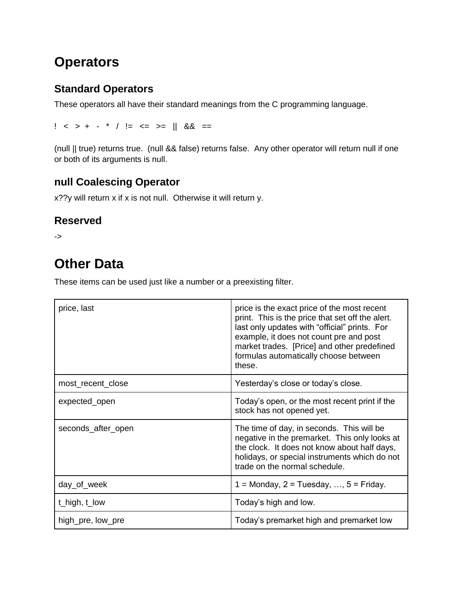### <span id="page-4-0"></span>**Operators**

#### <span id="page-4-1"></span>**Standard Operators**

These operators all have their standard meanings from the C programming language.

 $!$  < > + - \* /  $!=$  <= >=  $\|$  && ==

(null || true) returns true. (null && false) returns false. Any other operator will return null if one or both of its arguments is null.

#### <span id="page-4-2"></span>**null Coalescing Operator**

x??y will return x if x is not null. Otherwise it will return y.

#### <span id="page-4-3"></span>**Reserved**

<span id="page-4-4"></span>->

### **Other Data**

These items can be used just like a number or a preexisting filter.

| price, last        | price is the exact price of the most recent<br>print. This is the price that set off the alert.<br>last only updates with "official" prints. For<br>example, it does not count pre and post<br>market trades. [Price] and other predefined<br>formulas automatically choose between<br>these. |
|--------------------|-----------------------------------------------------------------------------------------------------------------------------------------------------------------------------------------------------------------------------------------------------------------------------------------------|
| most_recent_close  | Yesterday's close or today's close.                                                                                                                                                                                                                                                           |
| expected_open      | Today's open, or the most recent print if the<br>stock has not opened yet.                                                                                                                                                                                                                    |
| seconds_after_open | The time of day, in seconds. This will be<br>negative in the premarket. This only looks at<br>the clock. It does not know about half days,<br>holidays, or special instruments which do not<br>trade on the normal schedule.                                                                  |
| day_of_week        | $1 =$ Monday, $2 =$ Tuesday, , $5 =$ Friday.                                                                                                                                                                                                                                                  |
| t_high, $t$ _low   | Today's high and low.                                                                                                                                                                                                                                                                         |
| high_pre, low_pre  | Today's premarket high and premarket low                                                                                                                                                                                                                                                      |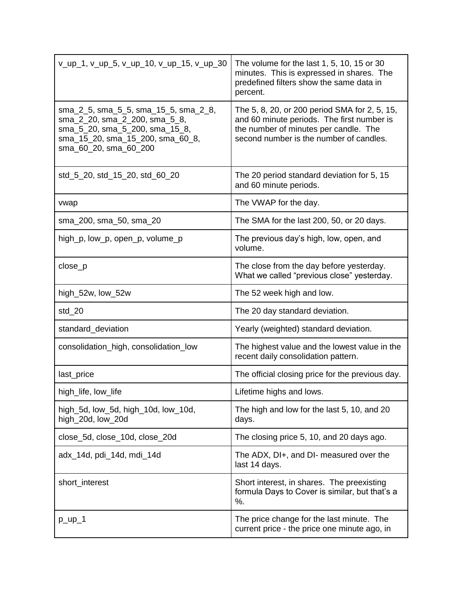| v_up_1, v_up_5, v_up_10, v_up_15, v_up_30                                                                                                                            | The volume for the last $1, 5, 10, 15$ or 30<br>minutes. This is expressed in shares. The<br>predefined filters show the same data in<br>percent.                               |
|----------------------------------------------------------------------------------------------------------------------------------------------------------------------|---------------------------------------------------------------------------------------------------------------------------------------------------------------------------------|
| sma_2_5, sma_5_5, sma_15_5, sma_2_8,<br>sma_2_20, sma_2_200, sma_5_8,<br>sma_5_20, sma_5_200, sma_15_8,<br>sma_15_20, sma_15_200, sma_60_8,<br>sma_60_20, sma_60_200 | The 5, 8, 20, or 200 period SMA for 2, 5, 15,<br>and 60 minute periods. The first number is<br>the number of minutes per candle. The<br>second number is the number of candles. |
| std_5_20, std_15_20, std_60_20                                                                                                                                       | The 20 period standard deviation for 5, 15<br>and 60 minute periods.                                                                                                            |
| vwap                                                                                                                                                                 | The VWAP for the day.                                                                                                                                                           |
| sma_200, sma_50, sma_20                                                                                                                                              | The SMA for the last 200, 50, or 20 days.                                                                                                                                       |
| high_p, low_p, open_p, volume_p                                                                                                                                      | The previous day's high, low, open, and<br>volume.                                                                                                                              |
| close_p                                                                                                                                                              | The close from the day before yesterday.<br>What we called "previous close" yesterday.                                                                                          |
| high_52w, low_52w                                                                                                                                                    | The 52 week high and low.                                                                                                                                                       |
| $std_20$                                                                                                                                                             | The 20 day standard deviation.                                                                                                                                                  |
| standard_deviation                                                                                                                                                   | Yearly (weighted) standard deviation.                                                                                                                                           |
| consolidation_high, consolidation_low                                                                                                                                | The highest value and the lowest value in the<br>recent daily consolidation pattern.                                                                                            |
| last_price                                                                                                                                                           | The official closing price for the previous day.                                                                                                                                |
| high_life, low_life                                                                                                                                                  | Lifetime highs and lows.                                                                                                                                                        |
| high_5d, low_5d, high_10d, low_10d,<br>high_20d, low_20d                                                                                                             | The high and low for the last 5, 10, and 20<br>days.                                                                                                                            |
| close_5d, close_10d, close_20d                                                                                                                                       | The closing price 5, 10, and 20 days ago.                                                                                                                                       |
| adx_14d, pdi_14d, mdi_14d                                                                                                                                            | The ADX, DI+, and DI- measured over the<br>last 14 days.                                                                                                                        |
| short_interest                                                                                                                                                       | Short interest, in shares. The preexisting<br>formula Days to Cover is similar, but that's a<br>%                                                                               |
| $p_{up_1}$                                                                                                                                                           | The price change for the last minute. The<br>current price - the price one minute ago, in                                                                                       |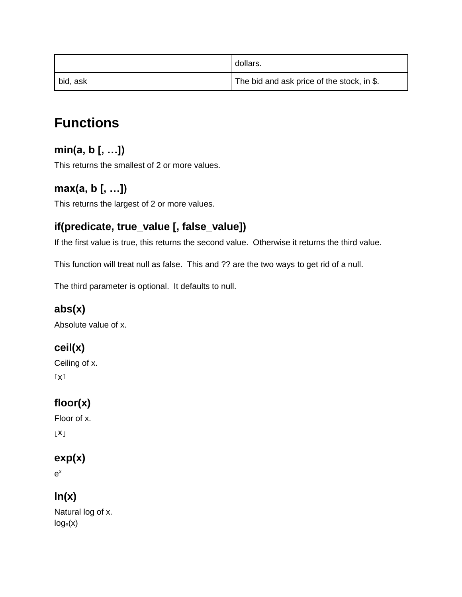|          | dollars.                                   |
|----------|--------------------------------------------|
| bid, ask | The bid and ask price of the stock, in \$. |

## <span id="page-6-0"></span>**Functions**

#### <span id="page-6-1"></span>**min(a, b [, …])**

This returns the smallest of 2 or more values.

#### <span id="page-6-2"></span>**max(a, b [, …])**

This returns the largest of 2 or more values.

#### <span id="page-6-3"></span>**if(predicate, true\_value [, false\_value])**

If the first value is true, this returns the second value. Otherwise it returns the third value.

This function will treat null as false. This and ?? are the two ways to get rid of a null.

The third parameter is optional. It defaults to null.

#### <span id="page-6-4"></span>**abs(x)**

Absolute value of x.

#### <span id="page-6-5"></span>**ceil(x)**

```
Ceiling of x.
\lceil x \rceil
```
#### <span id="page-6-6"></span>**floor(x)**

Floor of x.

 $\lfloor x \rfloor$ 

#### <span id="page-6-7"></span>**exp(x)**

e x

#### <span id="page-6-8"></span>**ln(x)**

Natural log of x.  $log_e(x)$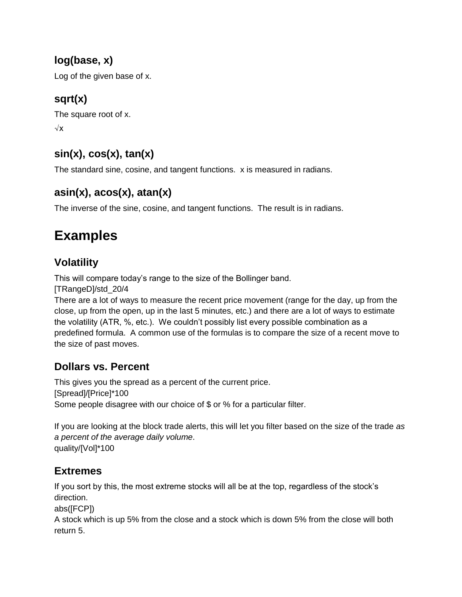#### <span id="page-7-0"></span>**log(base, x)**

Log of the given base of x.

#### <span id="page-7-1"></span>**sqrt(x)**

The square root of x. √x

#### <span id="page-7-2"></span>**sin(x), cos(x), tan(x)**

The standard sine, cosine, and tangent functions. x is measured in radians.

#### <span id="page-7-3"></span>**asin(x), acos(x), atan(x)**

<span id="page-7-4"></span>The inverse of the sine, cosine, and tangent functions. The result is in radians.

### **Examples**

#### <span id="page-7-5"></span>**Volatility**

This will compare today's range to the size of the Bollinger band.

[TRangeD]/std\_20/4

There are a lot of ways to measure the recent price movement (range for the day, up from the close, up from the open, up in the last 5 minutes, etc.) and there are a lot of ways to estimate the volatility (ATR, %, etc.). We couldn't possibly list every possible combination as a predefined formula. A common use of the formulas is to compare the size of a recent move to the size of past moves.

#### <span id="page-7-6"></span>**Dollars vs. Percent**

This gives you the spread as a percent of the current price. [Spread]/[Price]\*100 Some people disagree with our choice of \$ or % for a particular filter.

If you are looking at the block trade alerts, this will let you filter based on the size of the trade *as a percent of the average daily volume*. quality/[Vol]\*100

#### <span id="page-7-7"></span>**Extremes**

If you sort by this, the most extreme stocks will all be at the top, regardless of the stock's direction.

abs([FCP])

A stock which is up 5% from the close and a stock which is down 5% from the close will both return 5.